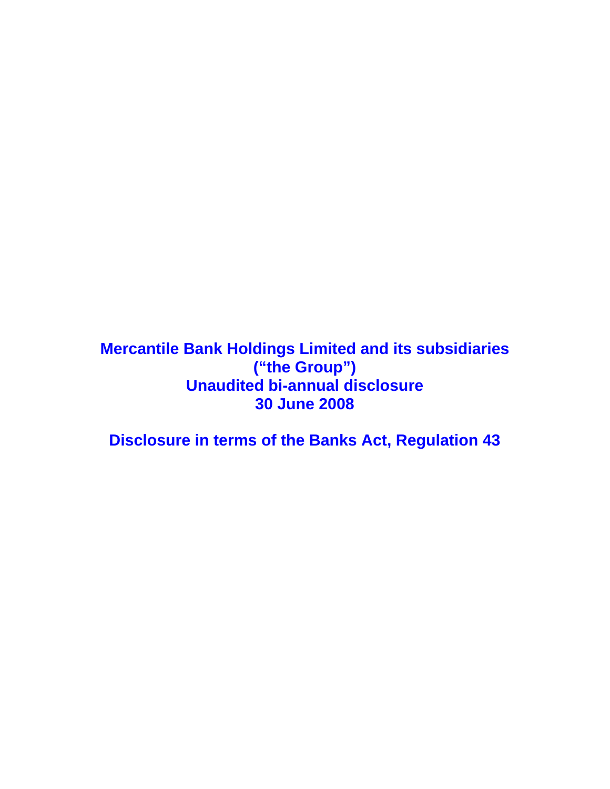**Mercantile Bank Holdings Limited and its subsidiaries ("the Group") Unaudited bi-annual disclosure 30 June 2008** 

**Disclosure in terms of the Banks Act, Regulation 43**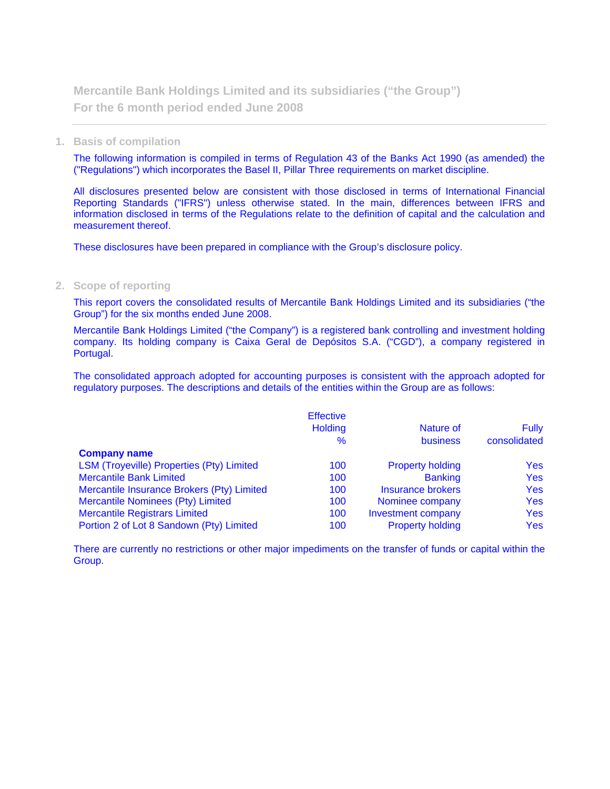**Mercantile Bank Holdings Limited and its subsidiaries ("the Group") For the 6 month period ended June 2008** 

### **1. Basis of compilation**

The following information is compiled in terms of Regulation 43 of the Banks Act 1990 (as amended) the ("Regulations") which incorporates the Basel II, Pillar Three requirements on market discipline.

All disclosures presented below are consistent with those disclosed in terms of International Financial Reporting Standards ("IFRS") unless otherwise stated. In the main, differences between IFRS and information disclosed in terms of the Regulations relate to the definition of capital and the calculation and measurement thereof.

These disclosures have been prepared in compliance with the Group's disclosure policy.

### **2. Scope of reporting**

This report covers the consolidated results of Mercantile Bank Holdings Limited and its subsidiaries ("the Group") for the six months ended June 2008.

Mercantile Bank Holdings Limited ("the Company") is a registered bank controlling and investment holding company. Its holding company is Caixa Geral de Depósitos S.A. ("CGD"), a company registered in Portugal.

The consolidated approach adopted for accounting purposes is consistent with the approach adopted for regulatory purposes. The descriptions and details of the entities within the Group are as follows:

|                                            | <b>Effective</b> |                          |              |
|--------------------------------------------|------------------|--------------------------|--------------|
|                                            | <b>Holding</b>   | Nature of                | <b>Fully</b> |
|                                            | $\%$             | <b>business</b>          | consolidated |
| <b>Company name</b>                        |                  |                          |              |
| LSM (Troyeville) Properties (Pty) Limited  | 100              | <b>Property holding</b>  | <b>Yes</b>   |
| <b>Mercantile Bank Limited</b>             | 100              | <b>Banking</b>           | <b>Yes</b>   |
| Mercantile Insurance Brokers (Pty) Limited | 100              | <b>Insurance brokers</b> | <b>Yes</b>   |
| <b>Mercantile Nominees (Pty) Limited</b>   | 100              | Nominee company          | <b>Yes</b>   |
| <b>Mercantile Registrars Limited</b>       | 100              | Investment company       | <b>Yes</b>   |
| Portion 2 of Lot 8 Sandown (Pty) Limited   | 100              | <b>Property holding</b>  | Yes:         |

There are currently no restrictions or other major impediments on the transfer of funds or capital within the Group.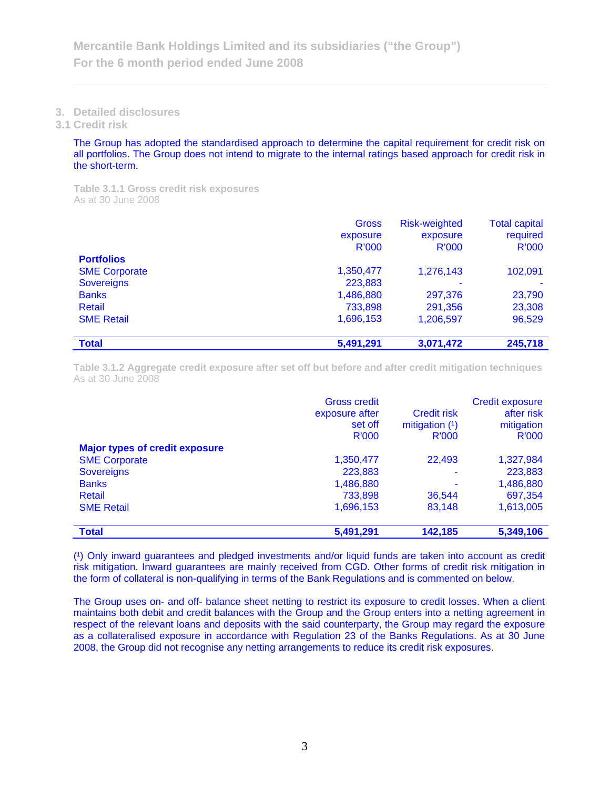### **3. Detailed disclosures**

**3.1 Credit risk** 

The Group has adopted the standardised approach to determine the capital requirement for credit risk on all portfolios. The Group does not intend to migrate to the internal ratings based approach for credit risk in the short-term.

**Table 3.1.1 Gross credit risk exposures**  As at 30 June 2008

|                      | Gross     | <b>Risk-weighted</b> | <b>Total capital</b> |
|----------------------|-----------|----------------------|----------------------|
|                      | exposure  | exposure             | required             |
|                      | R'000     | R'000                | R'000                |
| <b>Portfolios</b>    |           |                      |                      |
| <b>SME Corporate</b> | 1,350,477 | 1,276,143            | 102,091              |
| <b>Sovereigns</b>    | 223,883   | -                    |                      |
| <b>Banks</b>         | 1,486,880 | 297,376              | 23,790               |
| Retail               | 733,898   | 291,356              | 23,308               |
| <b>SME Retail</b>    | 1,696,153 | 1,206,597            | 96,529               |
|                      |           |                      |                      |
| <b>Total</b>         | 5,491,291 | 3,071,472            | 245,718              |

**Table 3.1.2 Aggregate credit exposure after set off but before and after credit mitigation techniques**  As at 30 June 2008

|                                       | <b>Gross credit</b><br>exposure after<br>set off | <b>Credit risk</b><br>mitigation $(1)$ | <b>Credit exposure</b><br>after risk<br>mitigation |
|---------------------------------------|--------------------------------------------------|----------------------------------------|----------------------------------------------------|
|                                       | R'000                                            | <b>R'000</b>                           | R'000                                              |
| <b>Major types of credit exposure</b> |                                                  |                                        |                                                    |
| <b>SME Corporate</b>                  | 1,350,477                                        | 22,493                                 | 1,327,984                                          |
| <b>Sovereigns</b>                     | 223,883                                          | ۰                                      | 223,883                                            |
| <b>Banks</b>                          | 1,486,880                                        | ۰                                      | 1,486,880                                          |
| <b>Retail</b>                         | 733,898                                          | 36,544                                 | 697,354                                            |
| <b>SME Retail</b>                     | 1,696,153                                        | 83,148                                 | 1,613,005                                          |
|                                       |                                                  |                                        |                                                    |
| <b>Total</b>                          | 5,491,291                                        | 142,185                                | 5,349,106                                          |

(1) Only inward guarantees and pledged investments and/or liquid funds are taken into account as credit risk mitigation. Inward guarantees are mainly received from CGD. Other forms of credit risk mitigation in the form of collateral is non-qualifying in terms of the Bank Regulations and is commented on below.

The Group uses on- and off- balance sheet netting to restrict its exposure to credit losses. When a client maintains both debit and credit balances with the Group and the Group enters into a netting agreement in respect of the relevant loans and deposits with the said counterparty, the Group may regard the exposure as a collateralised exposure in accordance with Regulation 23 of the Banks Regulations. As at 30 June 2008, the Group did not recognise any netting arrangements to reduce its credit risk exposures.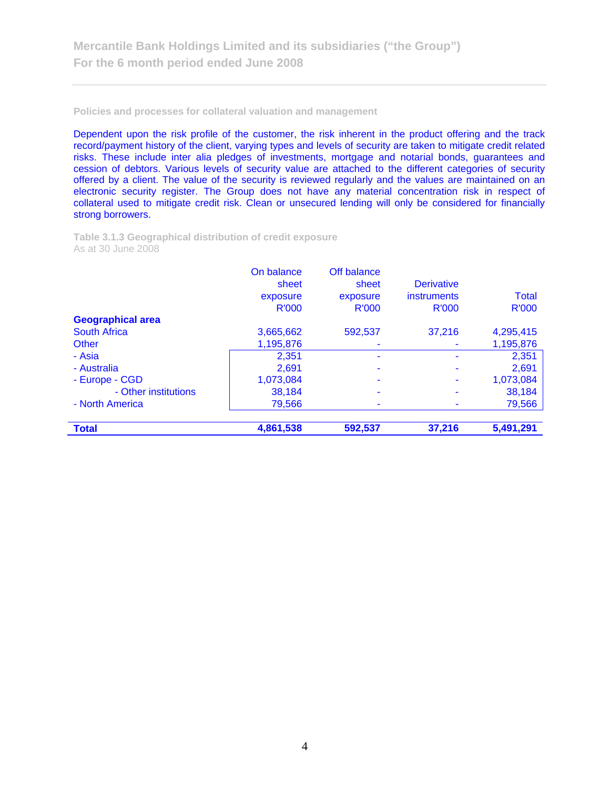**Policies and processes for collateral valuation and management** 

Dependent upon the risk profile of the customer, the risk inherent in the product offering and the track record/payment history of the client, varying types and levels of security are taken to mitigate credit related risks. These include inter alia pledges of investments, mortgage and notarial bonds, guarantees and cession of debtors. Various levels of security value are attached to the different categories of security offered by a client. The value of the security is reviewed regularly and the values are maintained on an electronic security register. The Group does not have any material concentration risk in respect of collateral used to mitigate credit risk. Clean or unsecured lending will only be considered for financially strong borrowers.

**Table 3.1.3 Geographical distribution of credit exposure**  As at 30 June 2008

|                          | On balance<br>sheet<br>exposure<br>R'000 | Off balance<br>sheet<br>exposure<br><b>R'000</b> | <b>Derivative</b><br>instruments<br>R'000 | Total<br><b>R'000</b> |
|--------------------------|------------------------------------------|--------------------------------------------------|-------------------------------------------|-----------------------|
| <b>Geographical area</b> |                                          |                                                  |                                           |                       |
| <b>South Africa</b>      | 3,665,662                                | 592,537                                          | 37,216                                    | 4,295,415             |
| <b>Other</b>             | 1,195,876                                |                                                  |                                           | 1,195,876             |
| - Asia                   | 2,351                                    |                                                  |                                           | 2,351                 |
| - Australia              | 2,691                                    |                                                  |                                           | 2,691                 |
| - Europe - CGD           | 1,073,084                                |                                                  |                                           | 1,073,084             |
| - Other institutions     | 38,184                                   |                                                  |                                           | 38,184                |
| - North America          | 79,566                                   |                                                  |                                           | 79,566                |
| <b>Total</b>             | 4,861,538                                | 592,537                                          | 37,216                                    | 5,491,291             |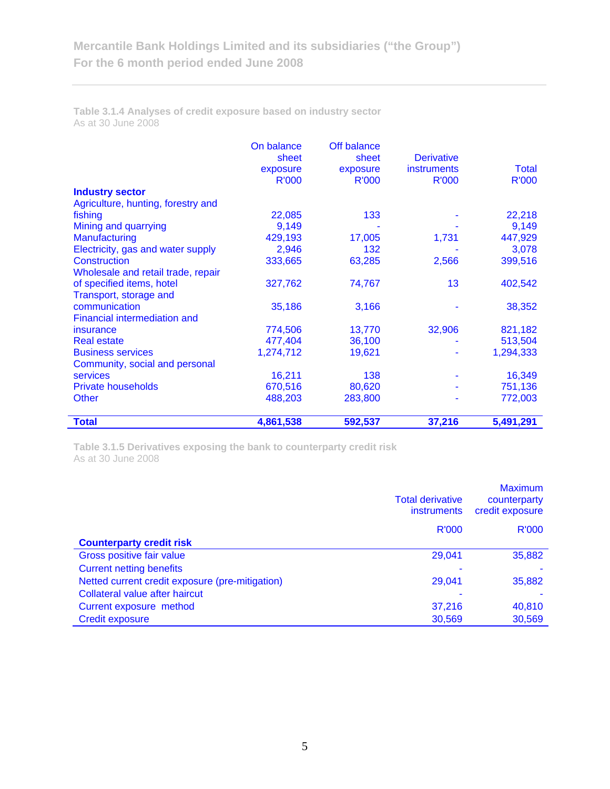**Table 3.1.4 Analyses of credit exposure based on industry sector**  As at 30 June 2008

|                                     | On balance   | Off balance  |                    |              |
|-------------------------------------|--------------|--------------|--------------------|--------------|
|                                     | sheet        | sheet        | <b>Derivative</b>  |              |
|                                     | exposure     | exposure     | <i>instruments</i> | Total        |
|                                     | <b>R'000</b> | <b>R'000</b> | <b>R'000</b>       | <b>R'000</b> |
| <b>Industry sector</b>              |              |              |                    |              |
| Agriculture, hunting, forestry and  |              |              |                    |              |
| fishing                             | 22,085       | 133          |                    | 22,218       |
| Mining and quarrying                | 9,149        |              |                    | 9,149        |
| Manufacturing                       | 429,193      | 17,005       | 1,731              | 447,929      |
| Electricity, gas and water supply   | 2,946        | 132          |                    | 3,078        |
| <b>Construction</b>                 | 333,665      | 63,285       | 2,566              | 399,516      |
| Wholesale and retail trade, repair  |              |              |                    |              |
| of specified items, hotel           | 327,762      | 74,767       | 13                 | 402,542      |
| Transport, storage and              |              |              |                    |              |
| communication                       | 35,186       | 3,166        |                    | 38,352       |
| <b>Financial intermediation and</b> |              |              |                    |              |
| insurance                           | 774,506      | 13,770       | 32,906             | 821,182      |
| <b>Real estate</b>                  | 477,404      | 36,100       |                    | 513,504      |
| <b>Business services</b>            | 1,274,712    | 19,621       |                    | 1,294,333    |
| Community, social and personal      |              |              |                    |              |
| <b>services</b>                     | 16,211       | 138          |                    | 16,349       |
| <b>Private households</b>           | 670,516      | 80,620       |                    | 751,136      |
| <b>Other</b>                        | 488,203      | 283,800      |                    | 772,003      |
|                                     |              |              |                    |              |
| <b>Total</b>                        | 4,861,538    | 592,537      | 37,216             | 5,491,291    |

**Table 3.1.5 Derivatives exposing the bank to counterparty credit risk**  As at 30 June 2008

|                                                 | <b>Total derivative</b><br><i>instruments</i> | <b>Maximum</b><br>counterparty<br>credit exposure |
|-------------------------------------------------|-----------------------------------------------|---------------------------------------------------|
|                                                 | <b>R'000</b>                                  | <b>R'000</b>                                      |
| <b>Counterparty credit risk</b>                 |                                               |                                                   |
| Gross positive fair value                       | 29,041                                        | 35,882                                            |
| <b>Current netting benefits</b>                 |                                               |                                                   |
| Netted current credit exposure (pre-mitigation) | 29,041                                        | 35,882                                            |
| Collateral value after haircut                  |                                               |                                                   |
| Current exposure method                         | 37,216                                        | 40,810                                            |
| <b>Credit exposure</b>                          | 30,569                                        | 30,569                                            |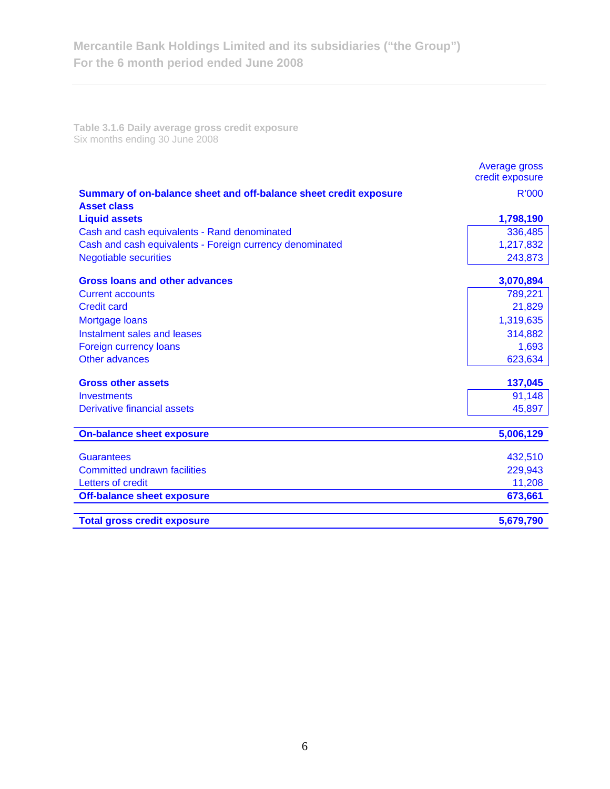**Table 3.1.6 Daily average gross credit exposure**  Six months ending 30 June 2008

|                                                                                         | Average gross<br>credit exposure |
|-----------------------------------------------------------------------------------------|----------------------------------|
| Summary of on-balance sheet and off-balance sheet credit exposure<br><b>Asset class</b> | R'000                            |
| <b>Liquid assets</b>                                                                    | 1,798,190                        |
| Cash and cash equivalents - Rand denominated                                            | 336,485                          |
| Cash and cash equivalents - Foreign currency denominated                                | 1,217,832                        |
| <b>Negotiable securities</b>                                                            | 243,873                          |
| <b>Gross loans and other advances</b>                                                   | 3,070,894                        |
| <b>Current accounts</b>                                                                 | 789,221                          |
| <b>Credit card</b>                                                                      | 21,829                           |
| <b>Mortgage loans</b>                                                                   | 1,319,635                        |
| Instalment sales and leases                                                             | 314,882                          |
| Foreign currency loans                                                                  | 1,693                            |
| Other advances                                                                          | 623,634                          |
| <b>Gross other assets</b>                                                               | 137,045                          |
| <b>Investments</b>                                                                      | 91,148                           |
| Derivative financial assets                                                             | 45,897                           |
| <b>On-balance sheet exposure</b>                                                        | 5,006,129                        |
| <b>Guarantees</b>                                                                       | 432,510                          |
| <b>Committed undrawn facilities</b>                                                     | 229,943                          |
| Letters of credit                                                                       | 11,208                           |
| <b>Off-balance sheet exposure</b>                                                       | 673,661                          |
| <b>Total gross credit exposure</b>                                                      | 5,679,790                        |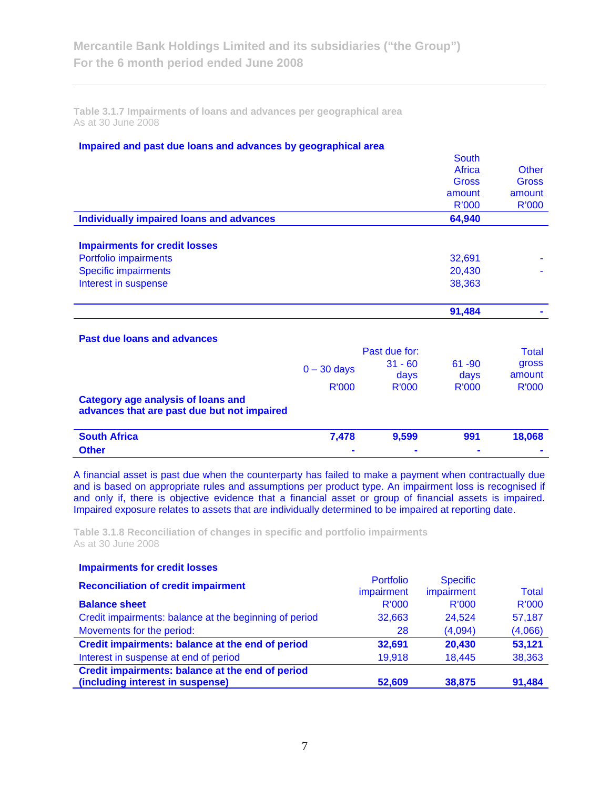**Table 3.1.7 Impairments of loans and advances per geographical area**  As at 30 June 2008

### **Impaired and past due loans and advances by geographical area**

|                                                 |               |               | <b>South</b> |              |
|-------------------------------------------------|---------------|---------------|--------------|--------------|
|                                                 |               |               | Africa       | <b>Other</b> |
|                                                 |               |               | Gross        | Gross        |
|                                                 |               |               | amount       | amount       |
|                                                 |               |               |              |              |
|                                                 |               |               | <b>R'000</b> | R'000        |
| <b>Individually impaired loans and advances</b> |               |               | 64,940       |              |
|                                                 |               |               |              |              |
| <b>Impairments for credit losses</b>            |               |               |              |              |
| Portfolio impairments                           |               |               | 32,691       |              |
| <b>Specific impairments</b>                     |               |               | 20,430       |              |
| Interest in suspense                            |               |               | 38,363       |              |
|                                                 |               |               |              |              |
|                                                 |               |               | 91,484       |              |
|                                                 |               |               |              |              |
| <b>Past due loans and advances</b>              |               |               |              |              |
|                                                 |               | Past due for: |              | <b>Total</b> |
|                                                 |               | $31 - 60$     | $61 - 90$    | gross        |
|                                                 | $0 - 30$ days | days          | days         | amount       |
|                                                 | <b>R'000</b>  | <b>R'000</b>  | <b>R'000</b> | <b>R'000</b> |
| <b>Category age analysis of loans and</b>       |               |               |              |              |
| advances that are past due but not impaired     |               |               |              |              |
|                                                 |               |               |              |              |
| <b>South Africa</b>                             | 7,478         | 9,599         | 991          | 18,068       |
| <b>Other</b>                                    |               |               |              |              |

A financial asset is past due when the counterparty has failed to make a payment when contractually due and is based on appropriate rules and assumptions per product type. An impairment loss is recognised if and only if, there is objective evidence that a financial asset or group of financial assets is impaired. Impaired exposure relates to assets that are individually determined to be impaired at reporting date.

**Table 3.1.8 Reconciliation of changes in specific and portfolio impairments**  As at 30 June 2008

| <b>Impairments for credit losses</b>                   |                                |                               |              |
|--------------------------------------------------------|--------------------------------|-------------------------------|--------------|
| <b>Reconciliation of credit impairment</b>             | <b>Portfolio</b><br>impairment | <b>Specific</b><br>impairment | <b>Total</b> |
| <b>Balance sheet</b>                                   | R'000                          | R'000                         | R'000        |
| Credit impairments: balance at the beginning of period | 32,663                         | 24.524                        | 57,187       |
| Movements for the period:                              | 28                             | (4,094)                       | (4,066)      |
| Credit impairments: balance at the end of period       | 32,691                         | 20,430                        | 53,121       |
| Interest in suspense at end of period                  | 19,918                         | 18,445                        | 38,363       |
| Credit impairments: balance at the end of period       |                                |                               |              |
| (including interest in suspense)                       | 52.609                         | 38.875                        | 91.484       |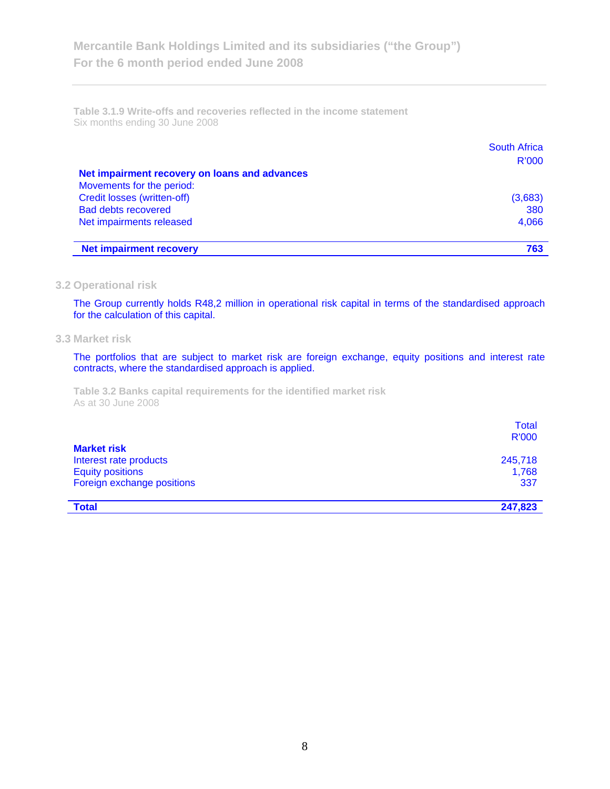**Table 3.1.9 Write-offs and recoveries reflected in the income statement**  Six months ending 30 June 2008

|                                               | <b>South Africa</b> |
|-----------------------------------------------|---------------------|
|                                               | <b>R'000</b>        |
| Net impairment recovery on loans and advances |                     |
| Movements for the period:                     |                     |
| Credit losses (written-off)                   | (3,683)             |
| <b>Bad debts recovered</b>                    | 380                 |
| Net impairments released                      | 4,066               |
|                                               |                     |
| <b>Net impairment recovery</b>                | 763                 |

### **3.2 Operational risk**

The Group currently holds R48,2 million in operational risk capital in terms of the standardised approach for the calculation of this capital.

#### **3.3 Market risk**

The portfolios that are subject to market risk are foreign exchange, equity positions and interest rate contracts, where the standardised approach is applied.

**Table 3.2 Banks capital requirements for the identified market risk**  As at 30 June 2008

|                                                                         | Total<br><b>R'000</b> |
|-------------------------------------------------------------------------|-----------------------|
| <b>Market risk</b><br>Interest rate products<br><b>Equity positions</b> | 245,718<br>1,768      |
| Foreign exchange positions                                              | 337                   |
| <b>Total</b>                                                            | 247,823               |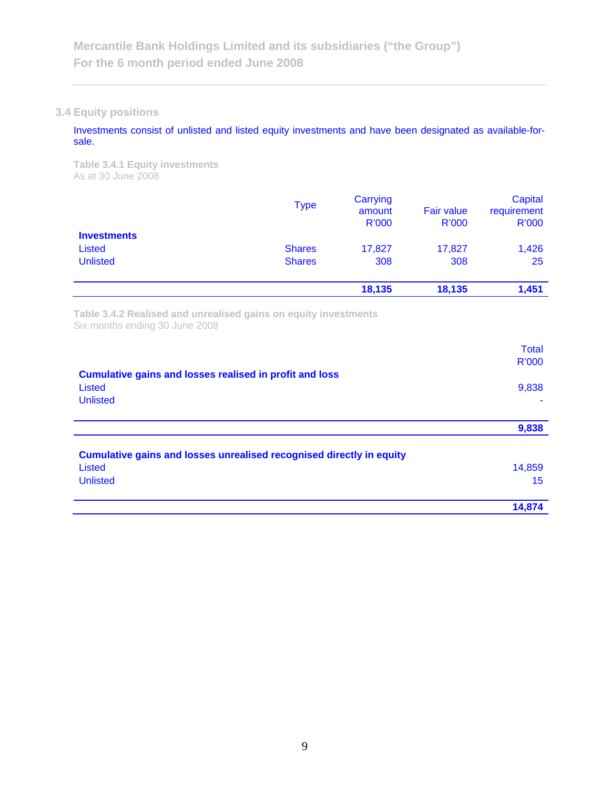# **3.4 Equity positions**

Investments consist of unlisted and listed equity investments and have been designated as available-forsale.

**Table 3.4.1 Equity investments**  As at 30 June 2008

| <b>Investments</b> | <b>Type</b>   | Carrying<br>amount<br>R'000 | <b>Fair value</b><br>R'000 | Capital<br>requirement<br><b>R'000</b> |  |
|--------------------|---------------|-----------------------------|----------------------------|----------------------------------------|--|
|                    |               |                             |                            |                                        |  |
| <b>Listed</b>      | <b>Shares</b> | 17,827                      | 17,827                     | 1,426                                  |  |
| <b>Unlisted</b>    | <b>Shares</b> | 308                         | 308                        | 25                                     |  |
|                    |               | 18,135                      | 18,135                     | 1,451                                  |  |

**Table 3.4.2 Realised and unrealised gains on equity investments**  Six months ending 30 June 2008

|                                                                      | <b>Total</b><br><b>R'000</b> |
|----------------------------------------------------------------------|------------------------------|
| Cumulative gains and losses realised in profit and loss              |                              |
| Listed<br><b>Unlisted</b>                                            | 9,838                        |
|                                                                      |                              |
|                                                                      | 9,838                        |
| Cumulative gains and losses unrealised recognised directly in equity |                              |
| Listed                                                               | 14,859                       |
| <b>Unlisted</b>                                                      | 15                           |
|                                                                      | 14,874                       |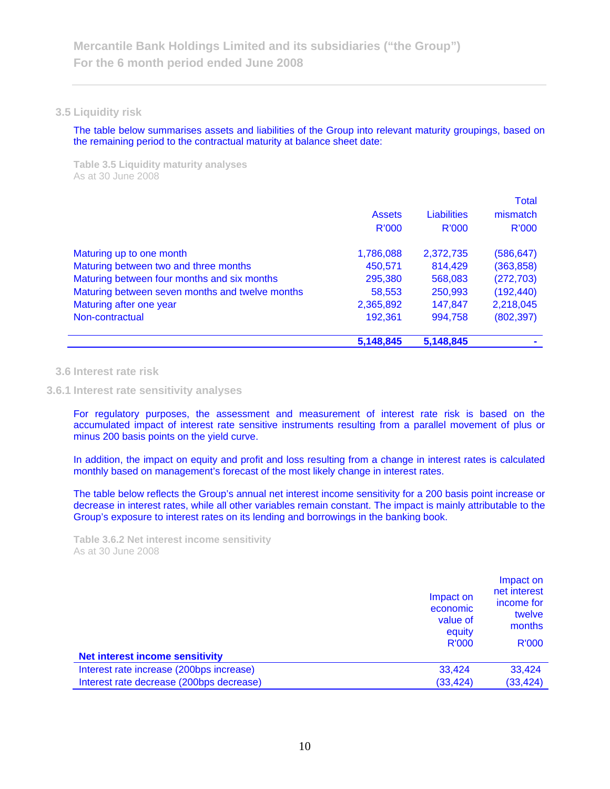#### **3.5 Liquidity risk**

The table below summarises assets and liabilities of the Group into relevant maturity groupings, based on the remaining period to the contractual maturity at balance sheet date:

**Table 3.5 Liquidity maturity analyses**  As at 30 June 2008

|                                                 | 5,148,845     | 5,148,845          |              |
|-------------------------------------------------|---------------|--------------------|--------------|
| Non-contractual                                 | 192,361       | 994,758            | (802, 397)   |
| Maturing after one year                         | 2,365,892     | 147,847            | 2,218,045    |
| Maturing between seven months and twelve months | 58,553        | 250,993            | (192, 440)   |
| Maturing between four months and six months     | 295,380       | 568,083            | (272, 703)   |
| Maturing between two and three months           | 450,571       | 814,429            | (363, 858)   |
| Maturing up to one month                        | 1,786,088     | 2,372,735          | (586, 647)   |
|                                                 | <b>R'000</b>  | <b>R'000</b>       | R'000        |
|                                                 | <b>Assets</b> | <b>Liabilities</b> | mismatch     |
|                                                 |               |                    | <b>Total</b> |

#### **3.6 Interest rate risk**

### **3.6.1 Interest rate sensitivity analyses**

For regulatory purposes, the assessment and measurement of interest rate risk is based on the accumulated impact of interest rate sensitive instruments resulting from a parallel movement of plus or minus 200 basis points on the yield curve.

In addition, the impact on equity and profit and loss resulting from a change in interest rates is calculated monthly based on management's forecast of the most likely change in interest rates.

The table below reflects the Group's annual net interest income sensitivity for a 200 basis point increase or decrease in interest rates, while all other variables remain constant. The impact is mainly attributable to the Group's exposure to interest rates on its lending and borrowings in the banking book.

**Table 3.6.2 Net interest income sensitivity**  As at 30 June 2008

| Impact on<br>economic<br><b>Net interest income sensitivity</b> | Impact on<br>net interest<br>income for<br>twelve<br>value of<br>months<br>equity<br>R'000<br>R'000 |
|-----------------------------------------------------------------|-----------------------------------------------------------------------------------------------------|
| Interest rate increase (200bps increase)<br>33,424              | 33,424                                                                                              |
| Interest rate decrease (200bps decrease)                        | (33, 424)<br>(33, 424)                                                                              |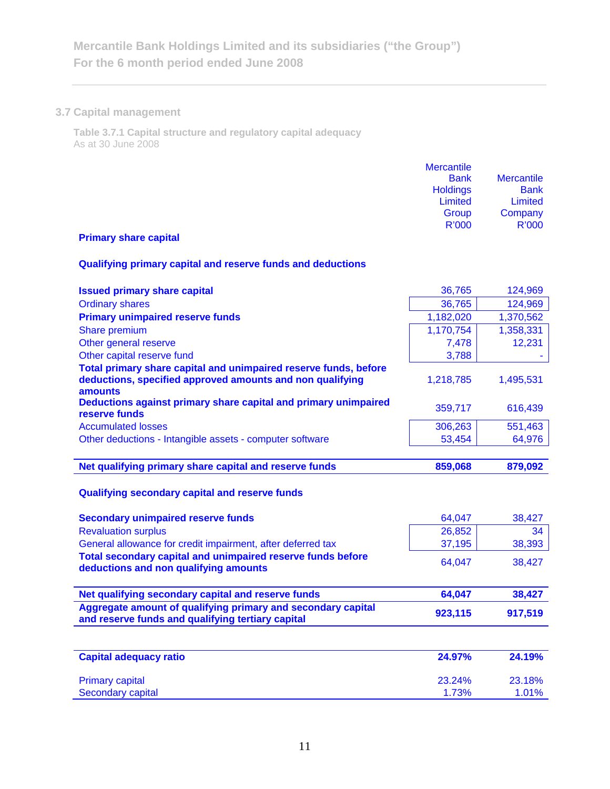# **3.7 Capital management**

**Table 3.7.1 Capital structure and regulatory capital adequacy**  As at 30 June 2008

| <b>Mercantile</b><br><b>Bank</b><br><b>Holdings</b><br>Limited<br>Group | <b>Mercantile</b><br><b>Bank</b><br><b>Limited</b><br>Company |
|-------------------------------------------------------------------------|---------------------------------------------------------------|
| R'000                                                                   | <b>R'000</b>                                                  |

# **Primary share capital**

# **Qualifying primary capital and reserve funds and deductions**

| <b>Issued primary share capital</b>                                                                                                      | 36,765          | 124,969         |
|------------------------------------------------------------------------------------------------------------------------------------------|-----------------|-----------------|
| <b>Ordinary shares</b>                                                                                                                   | 36,765          | 124,969         |
| <b>Primary unimpaired reserve funds</b>                                                                                                  | 1,182,020       | 1,370,562       |
| Share premium                                                                                                                            | 1,170,754       | 1,358,331       |
| Other general reserve                                                                                                                    | 7,478           | 12,231          |
| Other capital reserve fund                                                                                                               | 3,788           |                 |
| Total primary share capital and unimpaired reserve funds, before<br>deductions, specified approved amounts and non qualifying<br>amounts | 1,218,785       | 1,495,531       |
| Deductions against primary share capital and primary unimpaired<br>reserve funds                                                         | 359,717         | 616,439         |
| <b>Accumulated losses</b>                                                                                                                | 306,263         | 551,463         |
| Other deductions - Intangible assets - computer software                                                                                 | 53,454          | 64,976          |
|                                                                                                                                          |                 |                 |
| Net qualifying primary share capital and reserve funds                                                                                   | 859,068         | 879,092         |
| Qualifying secondary capital and reserve funds                                                                                           |                 |                 |
| <b>Secondary unimpaired reserve funds</b>                                                                                                | 64,047          | 38,427          |
| <b>Revaluation surplus</b>                                                                                                               | 26,852          | 34              |
| General allowance for credit impairment, after deferred tax                                                                              | 37,195          | 38,393          |
| Total secondary capital and unimpaired reserve funds before<br>deductions and non qualifying amounts                                     | 64,047          | 38,427          |
|                                                                                                                                          |                 |                 |
| Net qualifying secondary capital and reserve funds                                                                                       | 64,047          | 38,427          |
| Aggregate amount of qualifying primary and secondary capital<br>and reserve funds and qualifying tertiary capital                        | 923,115         | 917,519         |
|                                                                                                                                          |                 |                 |
| <b>Capital adequacy ratio</b>                                                                                                            | 24.97%          | 24.19%          |
| <b>Primary capital</b><br><b>Secondary capital</b>                                                                                       | 23.24%<br>1.73% | 23.18%<br>1.01% |